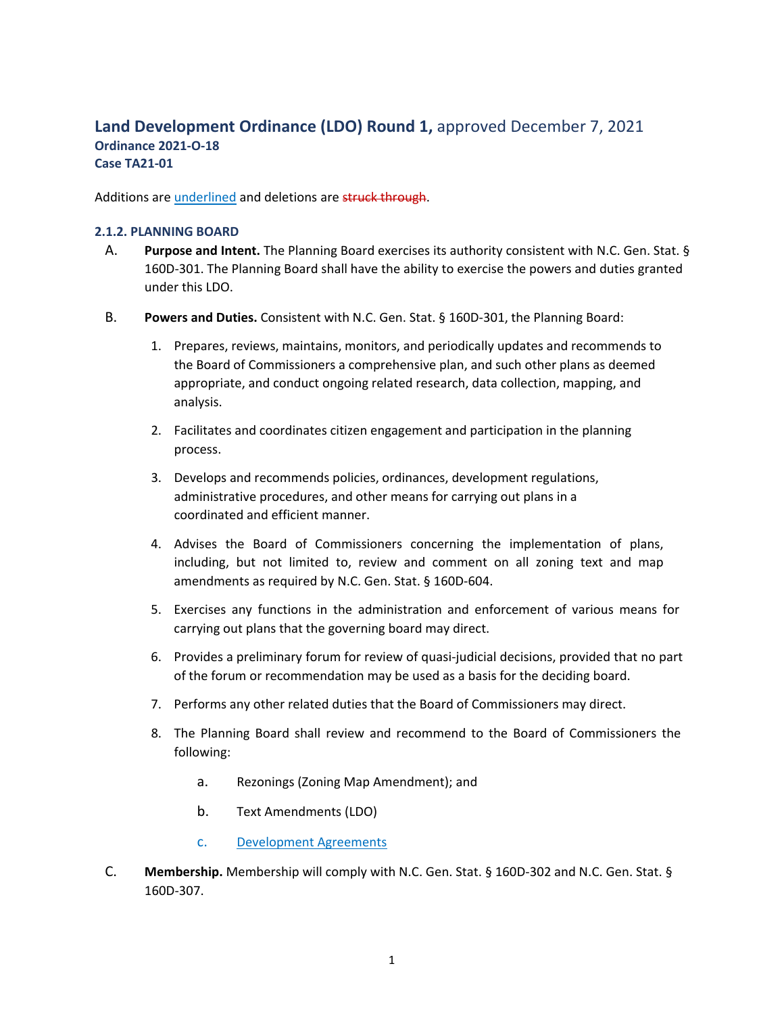# **Land Development Ordinance (LDO) Round 1,** approved December 7, 2021 **Ordinance 2021‐O‐18 Case TA21‐01**

Additions are underlined and deletions are struck through.

### **2.1.2. PLANNING BOARD**

- A. **Purpose and Intent.** The Planning Board exercises its authority consistent with N.C. Gen. Stat. § 160D‐301. The Planning Board shall have the ability to exercise the powers and duties granted under this LDO.
- B. **Powers and Duties.** Consistent with N.C. Gen. Stat. § 160D‐301, the Planning Board:
	- 1. Prepares, reviews, maintains, monitors, and periodically updates and recommends to the Board of Commissioners a comprehensive plan, and such other plans as deemed appropriate, and conduct ongoing related research, data collection, mapping, and analysis.
	- 2. Facilitates and coordinates citizen engagement and participation in the planning process.
	- 3. Develops and recommends policies, ordinances, development regulations, administrative procedures, and other means for carrying out plans in a coordinated and efficient manner.
	- 4. Advises the Board of Commissioners concerning the implementation of plans, including, but not limited to, review and comment on all zoning text and map amendments as required by N.C. Gen. Stat. § 160D‐604.
	- 5. Exercises any functions in the administration and enforcement of various means for carrying out plans that the governing board may direct.
	- 6. Provides a preliminary forum for review of quasi‐judicial decisions, provided that no part of the forum or recommendation may be used as a basis for the deciding board.
	- 7. Performs any other related duties that the Board of Commissioners may direct.
	- 8. The Planning Board shall review and recommend to the Board of Commissioners the following:
		- a. Rezonings (Zoning Map Amendment); and
		- b. Text Amendments (LDO)
		- c. Development Agreements
- C. **Membership.** Membership will comply with N.C. Gen. Stat. § 160D‐302 and N.C. Gen. Stat. § 160D‐307.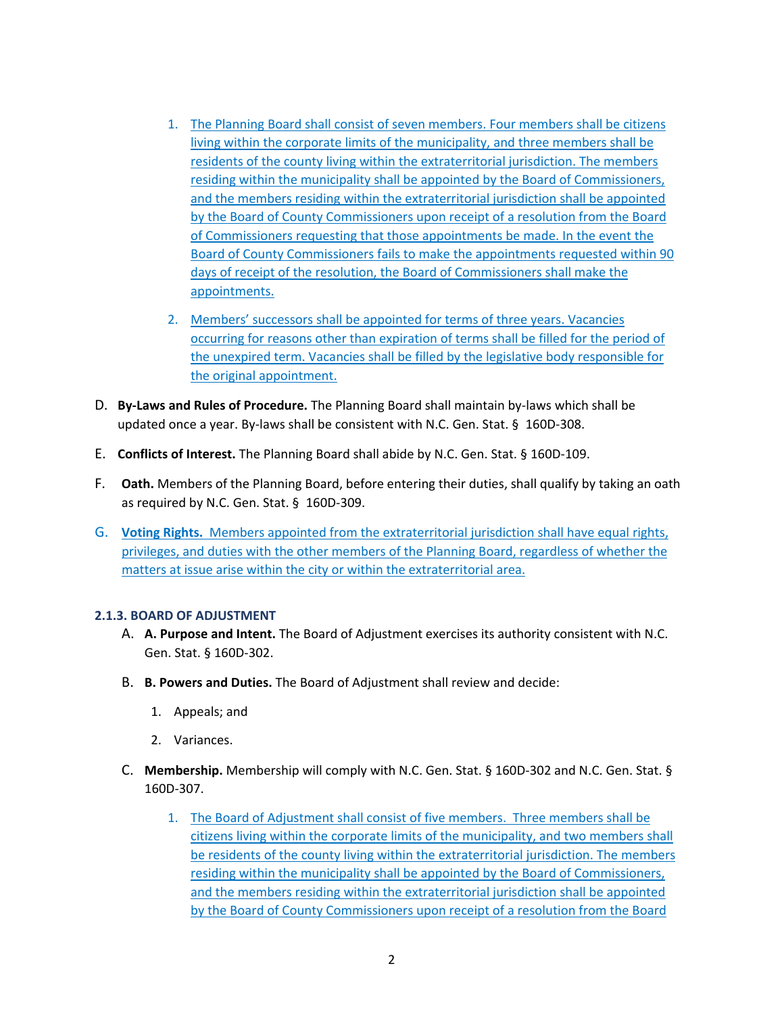- 1. The Planning Board shall consist of seven members. Four members shall be citizens living within the corporate limits of the municipality, and three members shall be residents of the county living within the extraterritorial jurisdiction. The members residing within the municipality shall be appointed by the Board of Commissioners, and the members residing within the extraterritorial jurisdiction shall be appointed by the Board of County Commissioners upon receipt of a resolution from the Board of Commissioners requesting that those appointments be made. In the event the Board of County Commissioners fails to make the appointments requested within 90 days of receipt of the resolution, the Board of Commissioners shall make the appointments.
- 2. Members' successors shall be appointed for terms of three years. Vacancies occurring for reasons other than expiration of terms shall be filled for the period of the unexpired term. Vacancies shall be filled by the legislative body responsible for the original appointment.
- D. **By‐Laws and Rules of Procedure.** The Planning Board shall maintain by‐laws which shall be updated once a year. By-laws shall be consistent with N.C. Gen. Stat. § 160D-308.
- E. **Conflicts of Interest.** The Planning Board shall abide by N.C. Gen. Stat. § 160D‐109.
- F. **Oath.** Members of the Planning Board, before entering their duties, shall qualify by taking an oath as required by N.C. Gen. Stat. § 160D‐309.
- G. **Voting Rights.** Members appointed from the extraterritorial jurisdiction shall have equal rights, privileges, and duties with the other members of the Planning Board, regardless of whether the matters at issue arise within the city or within the extraterritorial area.

### **2.1.3. BOARD OF ADJUSTMENT**

- A. **A. Purpose and Intent.** The Board of Adjustment exercises its authority consistent with N.C. Gen. Stat. § 160D‐302.
- B. **B. Powers and Duties.** The Board of Adjustment shall review and decide:
	- 1. Appeals; and
	- 2. Variances.
- C. **Membership.** Membership will comply with N.C. Gen. Stat. § 160D‐302 and N.C. Gen. Stat. § 160D‐307.
	- 1. The Board of Adjustment shall consist of five members. Three members shall be citizens living within the corporate limits of the municipality, and two members shall be residents of the county living within the extraterritorial jurisdiction. The members residing within the municipality shall be appointed by the Board of Commissioners, and the members residing within the extraterritorial jurisdiction shall be appointed by the Board of County Commissioners upon receipt of a resolution from the Board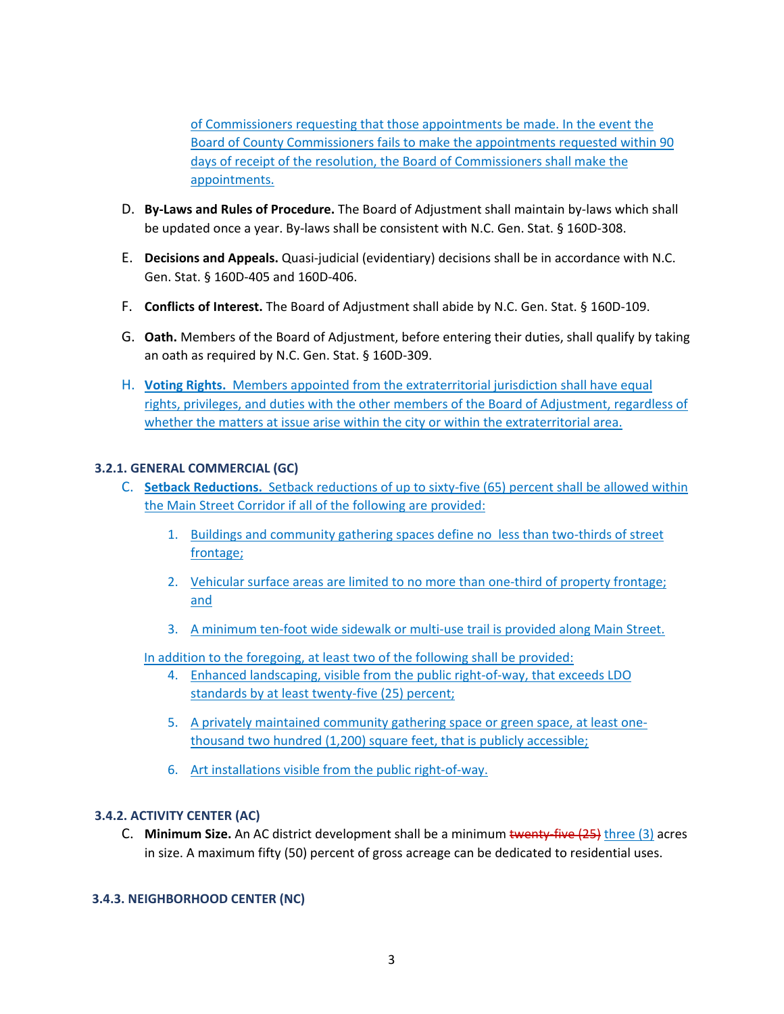of Commissioners requesting that those appointments be made. In the event the Board of County Commissioners fails to make the appointments requested within 90 days of receipt of the resolution, the Board of Commissioners shall make the appointments.

- D. **By‐Laws and Rules of Procedure.** The Board of Adjustment shall maintain by‐laws which shall be updated once a year. By‐laws shall be consistent with N.C. Gen. Stat. § 160D‐308.
- E. **Decisions and Appeals.** Quasi‐judicial (evidentiary) decisions shall be in accordance with N.C. Gen. Stat. § 160D‐405 and 160D‐406.
- F. **Conflicts of Interest.** The Board of Adjustment shall abide by N.C. Gen. Stat. § 160D‐109.
- G. **Oath.** Members of the Board of Adjustment, before entering their duties, shall qualify by taking an oath as required by N.C. Gen. Stat. § 160D‐309.
- H. **Voting Rights.** Members appointed from the extraterritorial jurisdiction shall have equal rights, privileges, and duties with the other members of the Board of Adjustment, regardless of whether the matters at issue arise within the city or within the extraterritorial area.

### **3.2.1. GENERAL COMMERCIAL (GC)**

- C. **Setback Reductions.** Setback reductions of up to sixty‐five (65) percent shall be allowed within the Main Street Corridor if all of the following are provided:
	- 1. Buildings and community gathering spaces define no less than two-thirds of street frontage;
	- 2. Vehicular surface areas are limited to no more than one-third of property frontage; and
	- 3. A minimum ten‐foot wide sidewalk or multi‐use trail is provided along Main Street.

In addition to the foregoing, at least two of the following shall be provided:

- 4. Enhanced landscaping, visible from the public right-of-way, that exceeds LDO standards by at least twenty-five (25) percent;
- 5. A privately maintained community gathering space or green space, at least one‐ thousand two hundred (1,200) square feet, that is publicly accessible;
- 6. Art installations visible from the public right‐of‐way.

### **3.4.2. ACTIVITY CENTER (AC)**

C. **Minimum Size.** An AC district development shall be a minimum twenty‐five (25) three (3) acres in size. A maximum fifty (50) percent of gross acreage can be dedicated to residential uses.

# **3.4.3. NEIGHBORHOOD CENTER (NC)**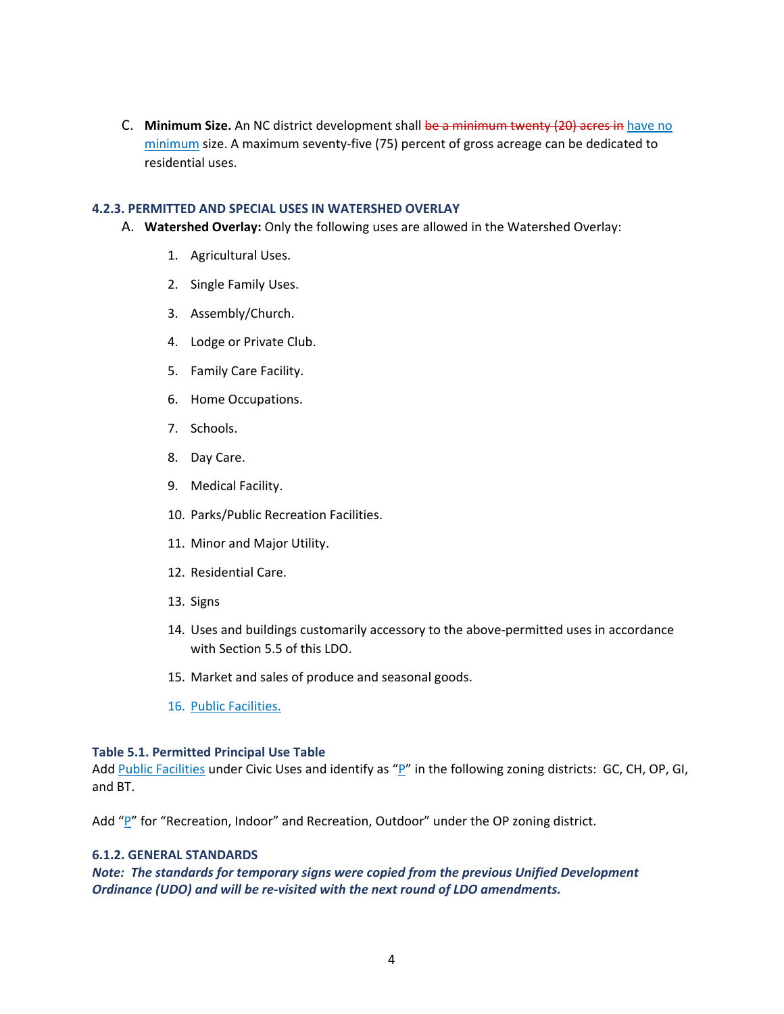C. **Minimum Size.** An NC district development shall be a minimum twenty (20) acres in have no minimum size. A maximum seventy‐five (75) percent of gross acreage can be dedicated to residential uses.

### **4.2.3. PERMITTED AND SPECIAL USES IN WATERSHED OVERLAY**

- A. **Watershed Overlay:** Only the following uses are allowed in the Watershed Overlay:
	- 1. Agricultural Uses.
	- 2. Single Family Uses.
	- 3. Assembly/Church.
	- 4. Lodge or Private Club.
	- 5. Family Care Facility.
	- 6. Home Occupations.
	- 7. Schools.
	- 8. Day Care.
	- 9. Medical Facility.
	- 10. Parks/Public Recreation Facilities.
	- 11. Minor and Major Utility.
	- 12. Residential Care.
	- 13. Signs
	- 14. Uses and buildings customarily accessory to the above‐permitted uses in accordance with Section 5.5 of this LDO.
	- 15. Market and sales of produce and seasonal goods.
	- 16. Public Facilities.

#### **Table 5.1. Permitted Principal Use Table**

Add Public Facilities under Civic Uses and identify as "P" in the following zoning districts: GC, CH, OP, GI, and BT.

Add " $P''$  for "Recreation, Indoor" and Recreation, Outdoor" under the OP zoning district.

### **6.1.2. GENERAL STANDARDS**

*Note: The standards for temporary signs were copied from the previous Unified Development Ordinance (UDO) and will be re‐visited with the next round of LDO amendments.*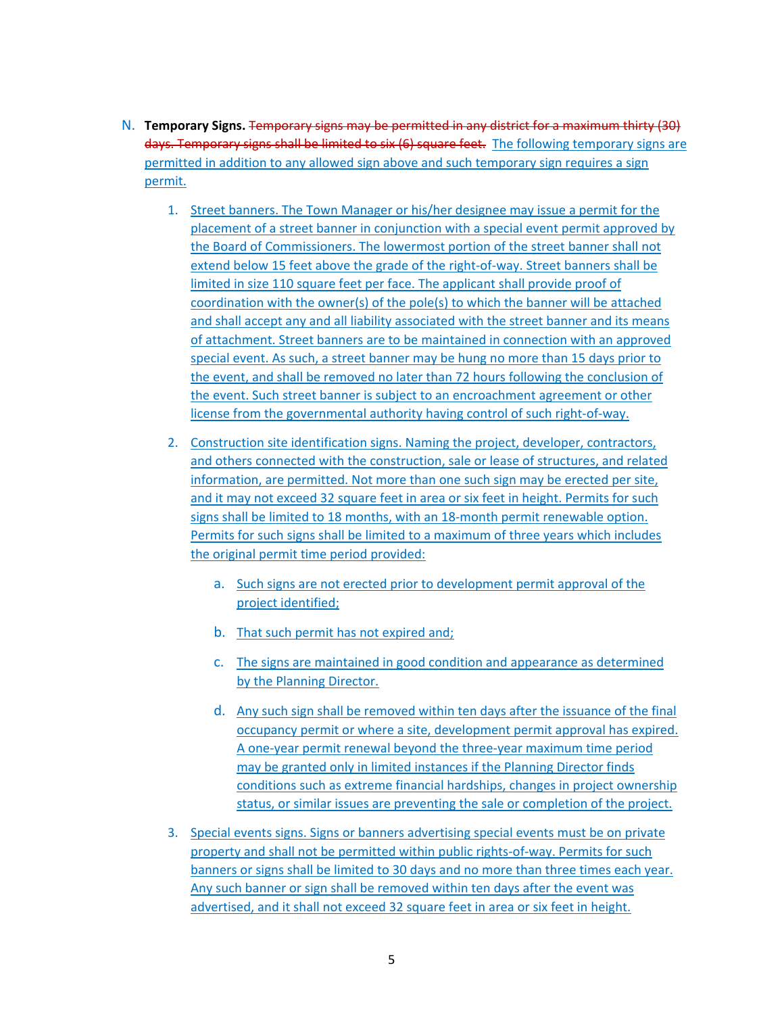- N. **Temporary Signs.** Temporary signs may be permitted in any district for a maximum thirty (30) days. Temporary signs shall be limited to six (6) square feet.The following temporary signs are permitted in addition to any allowed sign above and such temporary sign requires a sign permit.
	- 1. Street banners. The Town Manager or his/her designee may issue a permit for the placement of a street banner in conjunction with a special event permit approved by the Board of Commissioners. The lowermost portion of the street banner shall not extend below 15 feet above the grade of the right-of-way. Street banners shall be limited in size 110 square feet per face. The applicant shall provide proof of coordination with the owner(s) of the pole(s) to which the banner will be attached and shall accept any and all liability associated with the street banner and its means of attachment. Street banners are to be maintained in connection with an approved special event. As such, a street banner may be hung no more than 15 days prior to the event, and shall be removed no later than 72 hours following the conclusion of the event. Such street banner is subject to an encroachment agreement or other license from the governmental authority having control of such right‐of‐way.
	- 2. Construction site identification signs. Naming the project, developer, contractors, and others connected with the construction, sale or lease of structures, and related information, are permitted. Not more than one such sign may be erected per site, and it may not exceed 32 square feet in area or six feet in height. Permits for such signs shall be limited to 18 months, with an 18‐month permit renewable option. Permits for such signs shall be limited to a maximum of three years which includes the original permit time period provided:
		- a. Such signs are not erected prior to development permit approval of the project identified;
		- b. That such permit has not expired and;
		- c. The signs are maintained in good condition and appearance as determined by the Planning Director.
		- d. Any such sign shall be removed within ten days after the issuance of the final occupancy permit or where a site, development permit approval has expired. A one‐year permit renewal beyond the three‐year maximum time period may be granted only in limited instances if the Planning Director finds conditions such as extreme financial hardships, changes in project ownership status, or similar issues are preventing the sale or completion of the project.
	- 3. Special events signs. Signs or banners advertising special events must be on private property and shall not be permitted within public rights-of-way. Permits for such banners or signs shall be limited to 30 days and no more than three times each year. Any such banner or sign shall be removed within ten days after the event was advertised, and it shall not exceed 32 square feet in area or six feet in height.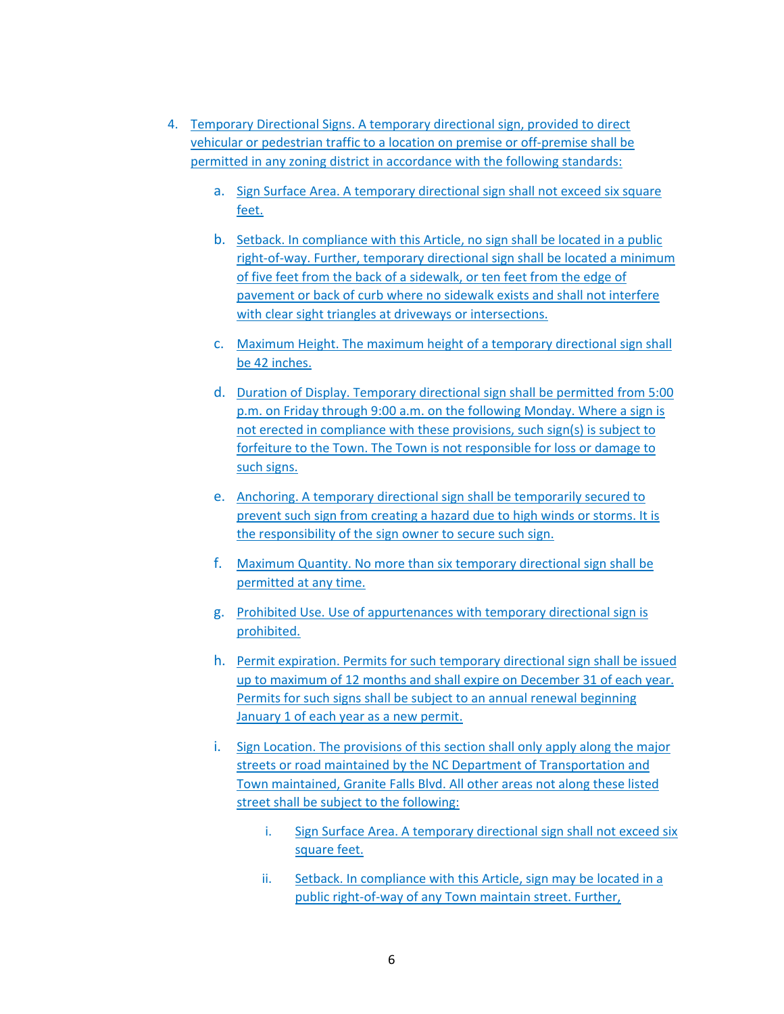- 4. Temporary Directional Signs. A temporary directional sign, provided to direct vehicular or pedestrian traffic to a location on premise or off‐premise shall be permitted in any zoning district in accordance with the following standards:
	- a. Sign Surface Area. A temporary directional sign shall not exceed six square feet.
	- b. Setback. In compliance with this Article, no sign shall be located in a public right‐of‐way. Further, temporary directional sign shall be located a minimum of five feet from the back of a sidewalk, or ten feet from the edge of pavement or back of curb where no sidewalk exists and shall not interfere with clear sight triangles at driveways or intersections.
	- c. Maximum Height. The maximum height of a temporary directional sign shall be 42 inches.
	- d. Duration of Display. Temporary directional sign shall be permitted from 5:00 p.m. on Friday through 9:00 a.m. on the following Monday. Where a sign is not erected in compliance with these provisions, such sign(s) is subject to forfeiture to the Town. The Town is not responsible for loss or damage to such signs.
	- e. Anchoring. A temporary directional sign shall be temporarily secured to prevent such sign from creating a hazard due to high winds or storms. It is the responsibility of the sign owner to secure such sign.
	- f. Maximum Quantity. No more than six temporary directional sign shall be permitted at any time.
	- g. Prohibited Use. Use of appurtenances with temporary directional sign is prohibited.
	- h. Permit expiration. Permits for such temporary directional sign shall be issued up to maximum of 12 months and shall expire on December 31 of each year. Permits for such signs shall be subject to an annual renewal beginning January 1 of each year as a new permit.
	- i. Sign Location. The provisions of this section shall only apply along the major streets or road maintained by the NC Department of Transportation and Town maintained, Granite Falls Blvd. All other areas not along these listed street shall be subject to the following:
		- i. Sign Surface Area. A temporary directional sign shall not exceed six square feet.
		- ii. Setback. In compliance with this Article, sign may be located in a public right‐of‐way of any Town maintain street. Further,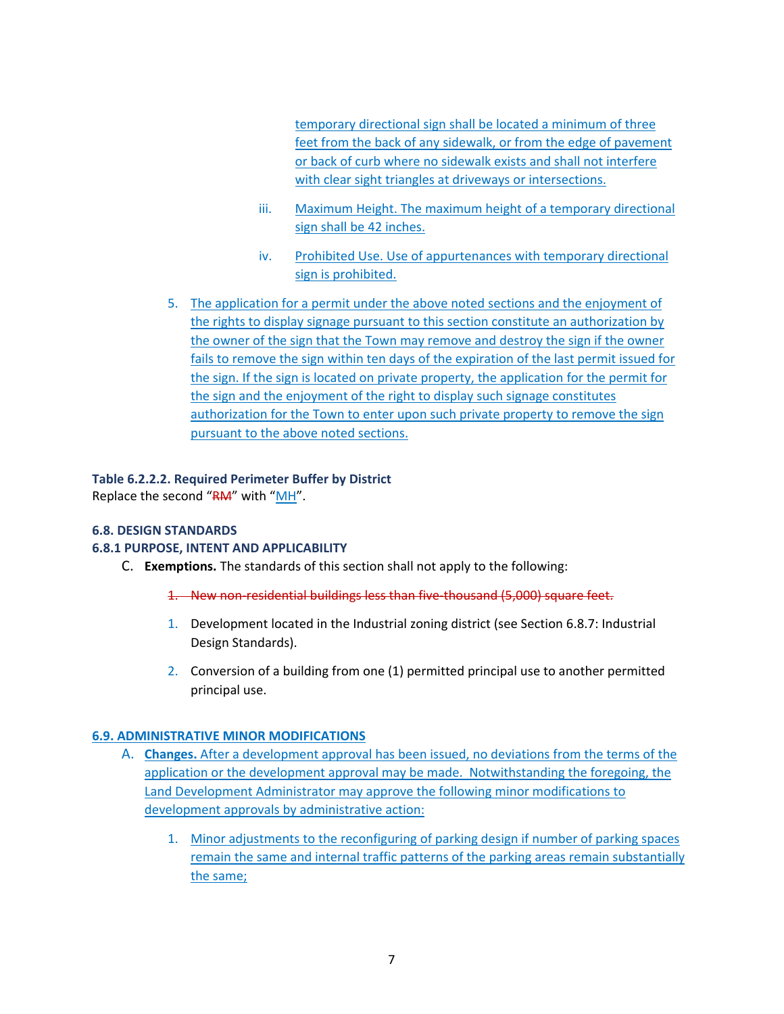temporary directional sign shall be located a minimum of three feet from the back of any sidewalk, or from the edge of pavement or back of curb where no sidewalk exists and shall not interfere with clear sight triangles at driveways or intersections.

- iii. Maximum Height. The maximum height of a temporary directional sign shall be 42 inches.
- iv. Prohibited Use. Use of appurtenances with temporary directional sign is prohibited.
- 5. The application for a permit under the above noted sections and the enjoyment of the rights to display signage pursuant to this section constitute an authorization by the owner of the sign that the Town may remove and destroy the sign if the owner fails to remove the sign within ten days of the expiration of the last permit issued for the sign. If the sign is located on private property, the application for the permit for the sign and the enjoyment of the right to display such signage constitutes authorization for the Town to enter upon such private property to remove the sign pursuant to the above noted sections.

### **Table 6.2.2.2. Required Perimeter Buffer by District**

Replace the second "RM" with "MH".

### **6.8. DESIGN STANDARDS**

### **6.8.1 PURPOSE, INTENT AND APPLICABILITY**

- C. **Exemptions.** The standards of this section shall not apply to the following:
	- 1. New non-residential buildings less than five-thousand (5,000) square feet.
	- 1. Development located in the Industrial zoning district (see Section 6.8.7: Industrial Design Standards).
	- 2. Conversion of a building from one (1) permitted principal use to another permitted principal use.

### **6.9. ADMINISTRATIVE MINOR MODIFICATIONS**

- A. **Changes.** After a development approval has been issued, no deviations from the terms of the application or the development approval may be made. Notwithstanding the foregoing, the Land Development Administrator may approve the following minor modifications to development approvals by administrative action:
	- 1. Minor adjustments to the reconfiguring of parking design if number of parking spaces remain the same and internal traffic patterns of the parking areas remain substantially the same;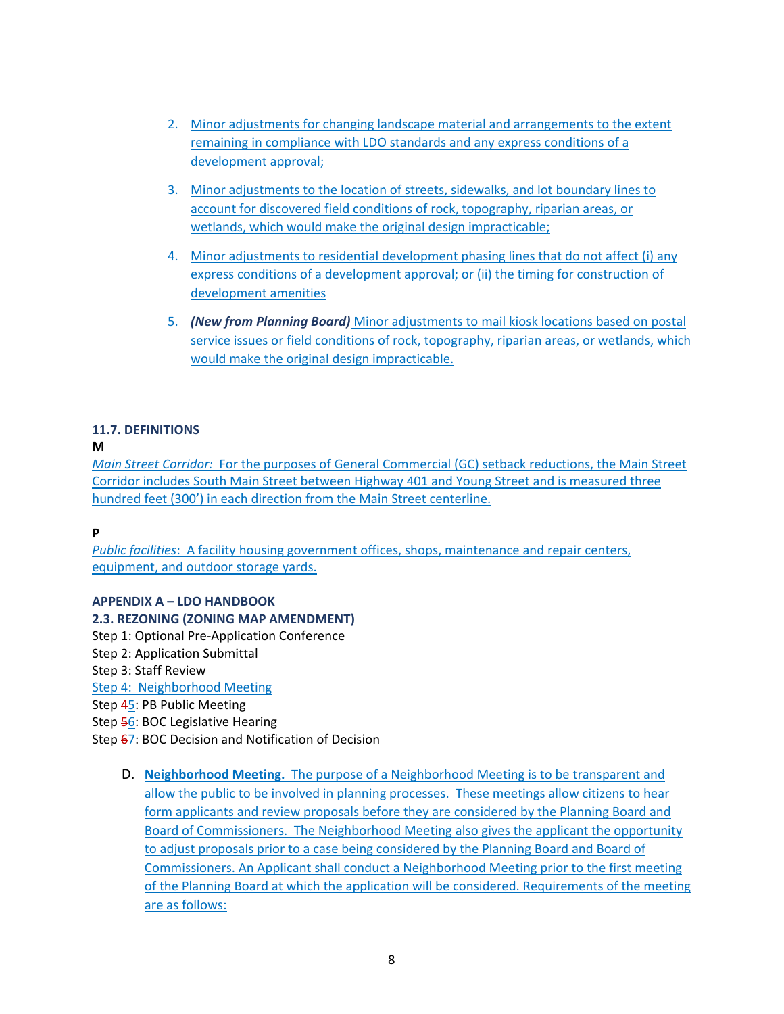- 2. Minor adjustments for changing landscape material and arrangements to the extent remaining in compliance with LDO standards and any express conditions of a development approval;
- 3. Minor adjustments to the location of streets, sidewalks, and lot boundary lines to account for discovered field conditions of rock, topography, riparian areas, or wetlands, which would make the original design impracticable;
- 4. Minor adjustments to residential development phasing lines that do not affect (i) any express conditions of a development approval; or (ii) the timing for construction of development amenities
- 5. *(New from Planning Board)* Minor adjustments to mail kiosk locations based on postal service issues or field conditions of rock, topography, riparian areas, or wetlands, which would make the original design impracticable.

# **11.7. DEFINITIONS**

# **M**

*Main Street Corridor:* For the purposes of General Commercial (GC) setback reductions, the Main Street Corridor includes South Main Street between Highway 401 and Young Street and is measured three hundred feet (300') in each direction from the Main Street centerline.

# **P**

*Public facilities*: A facility housing government offices, shops, maintenance and repair centers, equipment, and outdoor storage yards.

# **APPENDIX A – LDO HANDBOOK**

# **2.3. REZONING (ZONING MAP AMENDMENT)**

Step 1: Optional Pre‐Application Conference

Step 2: Application Submittal

Step 3: Staff Review

Step 4: Neighborhood Meeting

Step 45: PB Public Meeting

Step 56: BOC Legislative Hearing

Step  $67$ : BOC Decision and Notification of Decision

D. **Neighborhood Meeting.** The purpose of a Neighborhood Meeting is to be transparent and allow the public to be involved in planning processes. These meetings allow citizens to hear form applicants and review proposals before they are considered by the Planning Board and Board of Commissioners. The Neighborhood Meeting also gives the applicant the opportunity to adjust proposals prior to a case being considered by the Planning Board and Board of Commissioners. An Applicant shall conduct a Neighborhood Meeting prior to the first meeting of the Planning Board at which the application will be considered. Requirements of the meeting are as follows: